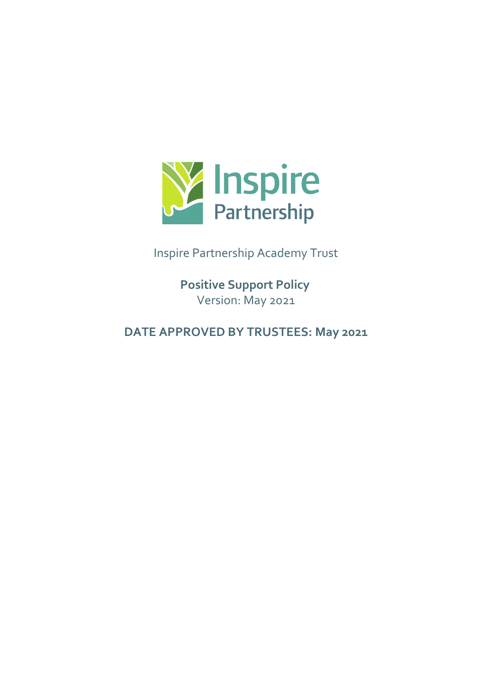

Inspire Partnership Academy Trust

**Positive Support Policy**  Version: May 2021

**DATE APPROVED BY TRUSTEES: May 2021**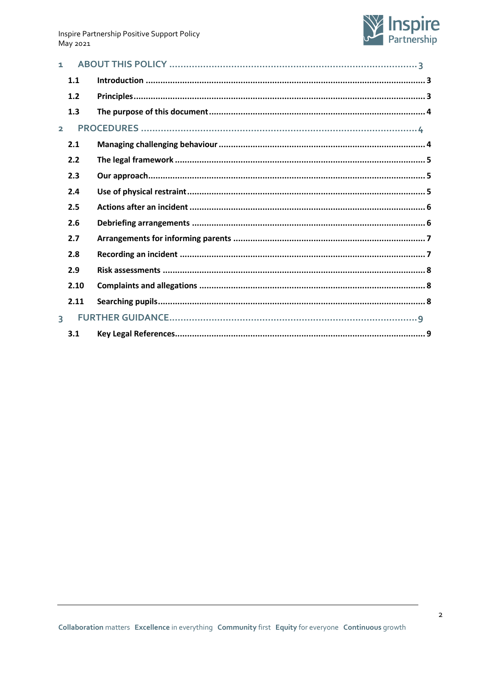

| 1.             |      |  |
|----------------|------|--|
|                | 1.1  |  |
|                | 1.2  |  |
|                | 1.3  |  |
| $\overline{2}$ |      |  |
|                | 2.1  |  |
|                | 2.2  |  |
|                | 2.3  |  |
|                | 2.4  |  |
|                | 2.5  |  |
|                | 2.6  |  |
|                | 2.7  |  |
|                | 2.8  |  |
|                | 2.9  |  |
|                | 2.10 |  |
|                | 2.11 |  |
| $\overline{3}$ |      |  |
|                | 3.1  |  |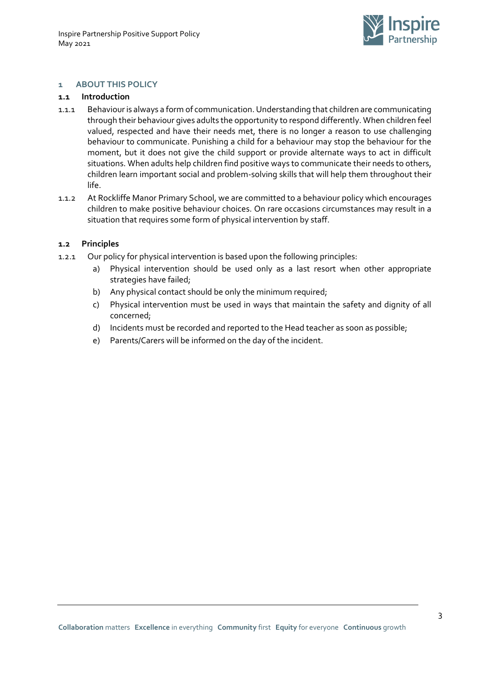

#### <span id="page-2-0"></span>**1 ABOUT THIS POLICY**

#### <span id="page-2-1"></span>**1.1 Introduction**

- 1.1.1 Behaviour is always a form of communication. Understanding that children are communicating through their behaviour gives adults the opportunity to respond differently. When children feel valued, respected and have their needs met, there is no longer a reason to use challenging behaviour to communicate. Punishing a child for a behaviour may stop the behaviour for the moment, but it does not give the child support or provide alternate ways to act in difficult situations. When adults help children find positive ways to communicate their needs to others, children learn important social and problem-solving skills that will help them throughout their life.
- 1.1.2 At Rockliffe Manor Primary School, we are committed to a behaviour policy which encourages children to make positive behaviour choices. On rare occasions circumstances may result in a situation that requires some form of physical intervention by staff.

#### <span id="page-2-2"></span>**1.2 Principles**

- 1.2.1 Our policy for physical intervention is based upon the following principles:
	- a) Physical intervention should be used only as a last resort when other appropriate strategies have failed;
	- b) Any physical contact should be only the minimum required;
	- c) Physical intervention must be used in ways that maintain the safety and dignity of all concerned;
	- d) Incidents must be recorded and reported to the Head teacher as soon as possible;
	- e) Parents/Carers will be informed on the day of the incident.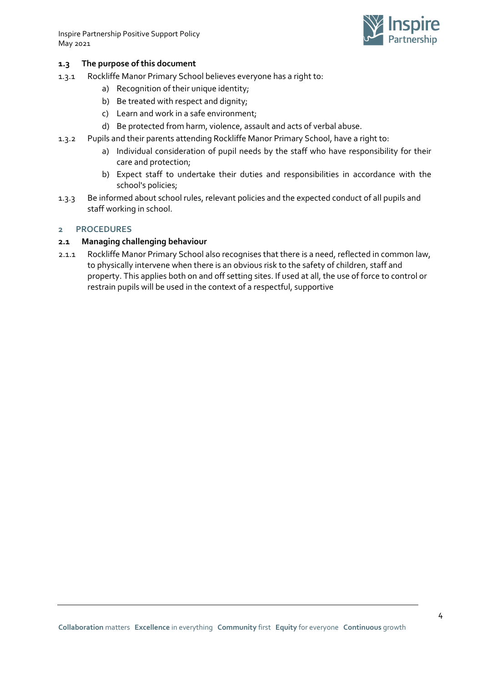Inspire Partnership Positive Support Policy May 2021



## <span id="page-3-0"></span>**1.3 The purpose of this document**

- 1.3.1 Rockliffe Manor Primary School believes everyone has a right to:
	- a) Recognition of their unique identity;
	- b) Be treated with respect and dignity;
	- c) Learn and work in a safe environment;
	- d) Be protected from harm, violence, assault and acts of verbal abuse.
- 1.3.2 Pupils and their parents attending Rockliffe Manor Primary School, have a right to:
	- a) Individual consideration of pupil needs by the staff who have responsibility for their care and protection;
	- b) Expect staff to undertake their duties and responsibilities in accordance with the school's policies;
- 1.3.3 Be informed about school rules, relevant policies and the expected conduct of all pupils and staff working in school.

## <span id="page-3-1"></span>**2 PROCEDURES**

## <span id="page-3-2"></span>**2.1 Managing challenging behaviour**

2.1.1 Rockliffe Manor Primary School also recognises that there is a need, reflected in common law, to physically intervene when there is an obvious risk to the safety of children, staff and property. This applies both on and off setting sites. If used at all, the use of force to control or restrain pupils will be used in the context of a respectful, supportive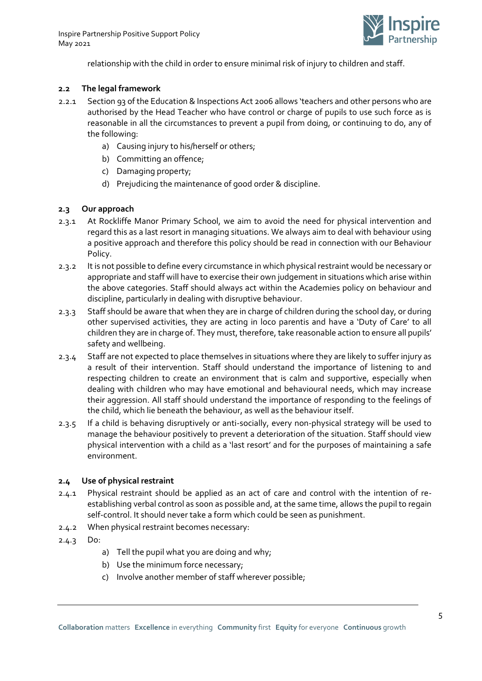

relationship with the child in order to ensure minimal risk of injury to children and staff.

## <span id="page-4-0"></span>**2.2 The legal framework**

- 2.2.1 Section 93 of the Education & Inspections Act 2006 allows 'teachers and other persons who are authorised by the Head Teacher who have control or charge of pupils to use such force as is reasonable in all the circumstances to prevent a pupil from doing, or continuing to do, any of the following:
	- a) Causing injury to his/herself or others;
	- b) Committing an offence;
	- c) Damaging property;
	- d) Prejudicing the maintenance of good order & discipline.

## <span id="page-4-1"></span>**2.3 Our approach**

- 2.3.1 At Rockliffe Manor Primary School, we aim to avoid the need for physical intervention and regard this as a last resort in managing situations. We always aim to deal with behaviour using a positive approach and therefore this policy should be read in connection with our Behaviour Policy.
- 2.3.2 It is not possible to define every circumstance in which physical restraint would be necessary or appropriate and staff will have to exercise their own judgement in situations which arise within the above categories. Staff should always act within the Academies policy on behaviour and discipline, particularly in dealing with disruptive behaviour.
- 2.3.3 Staff should be aware that when they are in charge of children during the school day, or during other supervised activities, they are acting in loco parentis and have a 'Duty of Care' to all children they are in charge of. They must, therefore, take reasonable action to ensure all pupils' safety and wellbeing.
- 2.3.4 Staff are not expected to place themselves in situations where they are likely to suffer injury as a result of their intervention. Staff should understand the importance of listening to and respecting children to create an environment that is calm and supportive, especially when dealing with children who may have emotional and behavioural needs, which may increase their aggression. All staff should understand the importance of responding to the feelings of the child, which lie beneath the behaviour, as well as the behaviour itself.
- 2.3.5 If a child is behaving disruptively or anti-socially, every non-physical strategy will be used to manage the behaviour positively to prevent a deterioration of the situation. Staff should view physical intervention with a child as a 'last resort' and for the purposes of maintaining a safe environment.

#### <span id="page-4-2"></span>**2.4 Use of physical restraint**

- 2.4.1 Physical restraint should be applied as an act of care and control with the intention of reestablishing verbal control as soon as possible and, at the same time, allows the pupil to regain self-control. It should never take a form which could be seen as punishment.
- 2.4.2 When physical restraint becomes necessary:
- 2.4.3 Do:
	- a) Tell the pupil what you are doing and why;
	- b) Use the minimum force necessary;
	- c) Involve another member of staff wherever possible;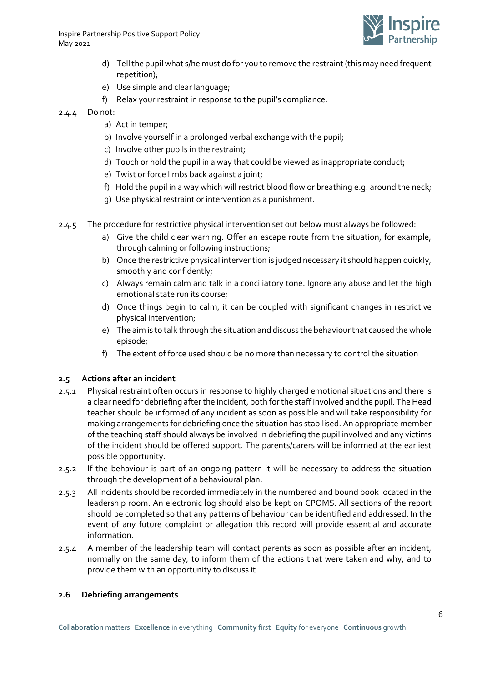Inspire Partnership Positive Support Policy May 2021



- d) Tell the pupil what s/he must do for you to remove the restraint (this may need frequent repetition);
- e) Use simple and clear language;
- f) Relax your restraint in response to the pupil's compliance.
- 2.4.4 Do not:
	- a) Act in temper;
	- b) Involve yourself in a prolonged verbal exchange with the pupil;
	- c) Involve other pupils in the restraint;
	- d) Touch or hold the pupil in a way that could be viewed as inappropriate conduct;
	- e) Twist or force limbs back against a joint;
	- f) Hold the pupil in a way which will restrict blood flow or breathing e.g. around the neck;
	- g) Use physical restraint or intervention as a punishment.
- 2.4.5 The procedure for restrictive physical intervention set out below must always be followed:
	- a) Give the child clear warning. Offer an escape route from the situation, for example, through calming or following instructions;
	- b) Once the restrictive physical intervention is judged necessary it should happen quickly, smoothly and confidently;
	- c) Always remain calm and talk in a conciliatory tone. Ignore any abuse and let the high emotional state run its course;
	- d) Once things begin to calm, it can be coupled with significant changes in restrictive physical intervention;
	- e) The aim is to talk through the situation and discuss the behaviour that caused the whole episode;
	- f) The extent of force used should be no more than necessary to control the situation

#### <span id="page-5-0"></span>**2.5 Actions after an incident**

- 2.5.1 Physical restraint often occurs in response to highly charged emotional situations and there is a clear need for debriefing after the incident, both for the staff involved and the pupil. The Head teacher should be informed of any incident as soon as possible and will take responsibility for making arrangements for debriefing once the situation has stabilised. An appropriate member of the teaching staff should always be involved in debriefing the pupil involved and any victims of the incident should be offered support. The parents/carers will be informed at the earliest possible opportunity.
- 2.5.2 If the behaviour is part of an ongoing pattern it will be necessary to address the situation through the development of a behavioural plan.
- 2.5.3 All incidents should be recorded immediately in the numbered and bound book located in the leadership room. An electronic log should also be kept on CPOMS. All sections of the report should be completed so that any patterns of behaviour can be identified and addressed. In the event of any future complaint or allegation this record will provide essential and accurate information.
- 2.5.4 A member of the leadership team will contact parents as soon as possible after an incident, normally on the same day, to inform them of the actions that were taken and why, and to provide them with an opportunity to discuss it.

#### <span id="page-5-1"></span>**2.6 Debriefing arrangements**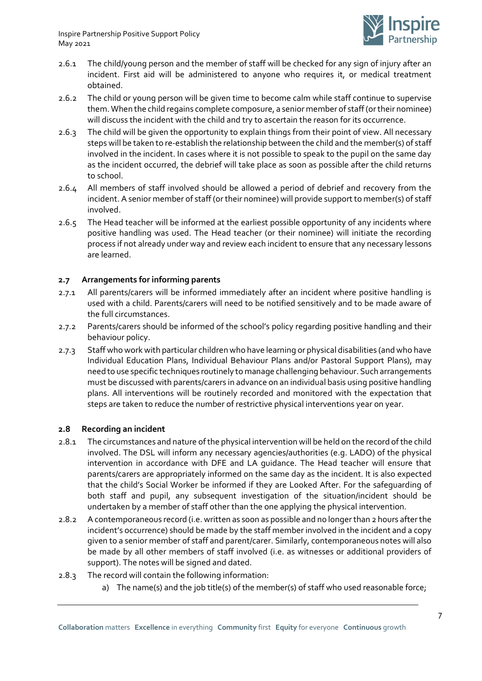

- 2.6.1 The child/young person and the member of staff will be checked for any sign of injury after an incident. First aid will be administered to anyone who requires it, or medical treatment obtained.
- 2.6.2 The child or young person will be given time to become calm while staff continue to supervise them. When the child regains complete composure, a senior member of staff (or their nominee) will discuss the incident with the child and try to ascertain the reason for its occurrence.
- 2.6.3 The child will be given the opportunity to explain things from their point of view. All necessary steps will be taken to re-establish the relationship between the child and the member(s) of staff involved in the incident. In cases where it is not possible to speak to the pupil on the same day as the incident occurred, the debrief will take place as soon as possible after the child returns to school.
- 2.6.4 All members of staff involved should be allowed a period of debrief and recovery from the incident. A senior member of staff (or their nominee) will provide support to member(s) of staff involved.
- 2.6.5 The Head teacher will be informed at the earliest possible opportunity of any incidents where positive handling was used. The Head teacher (or their nominee) will initiate the recording process if not already under way and review each incident to ensure that any necessary lessons are learned.

# <span id="page-6-0"></span>**2.7 Arrangements for informing parents**

- 2.7.1 All parents/carers will be informed immediately after an incident where positive handling is used with a child. Parents/carers will need to be notified sensitively and to be made aware of the full circumstances.
- 2.7.2 Parents/carers should be informed of the school's policy regarding positive handling and their behaviour policy.
- 2.7.3 Staff who work with particular children who have learning or physical disabilities (and who have Individual Education Plans, Individual Behaviour Plans and/or Pastoral Support Plans), may need to use specific techniques routinely to manage challenging behaviour. Such arrangements must be discussed with parents/carers in advance on an individual basis using positive handling plans. All interventions will be routinely recorded and monitored with the expectation that steps are taken to reduce the number of restrictive physical interventions year on year.

## <span id="page-6-1"></span>**2.8 Recording an incident**

- 2.8.1 The circumstances and nature of the physical intervention will be held on the record of the child involved. The DSL will inform any necessary agencies/authorities (e.g. LADO) of the physical intervention in accordance with DFE and LA guidance. The Head teacher will ensure that parents/carers are appropriately informed on the same day as the incident. It is also expected that the child's Social Worker be informed if they are Looked After. For the safeguarding of both staff and pupil, any subsequent investigation of the situation/incident should be undertaken by a member of staff other than the one applying the physical intervention.
- 2.8.2 A contemporaneous record (i.e. written as soon as possible and no longer than 2 hours after the incident's occurrence) should be made by the staff member involved in the incident and a copy given to a senior member of staff and parent/carer. Similarly, contemporaneous notes will also be made by all other members of staff involved (i.e. as witnesses or additional providers of support). The notes will be signed and dated.
- 2.8.3 The record will contain the following information:
	- a) The name(s) and the job title(s) of the member(s) of staff who used reasonable force;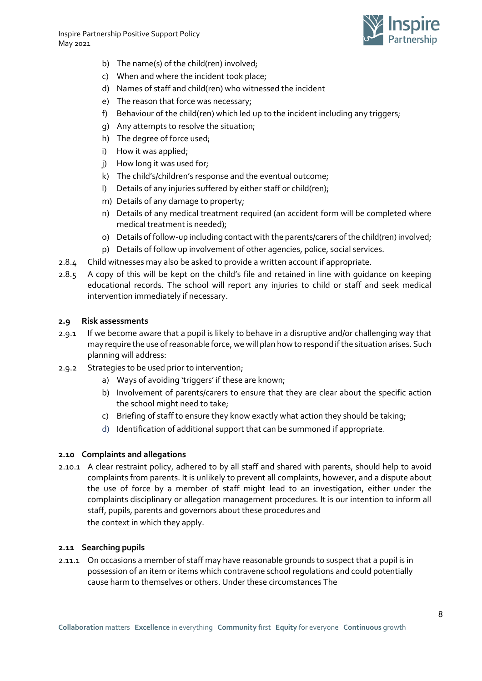

- b) The name(s) of the child(ren) involved;
- c) When and where the incident took place;
- d) Names of staff and child(ren) who witnessed the incident
- e) The reason that force was necessary;
- f) Behaviour of the child(ren) which led up to the incident including any triggers;
- g) Any attempts to resolve the situation;
- h) The degree of force used;
- i) How it was applied;
- j) How long it was used for;
- k) The child's/children's response and the eventual outcome;
- l) Details of any injuries suffered by either staff or child(ren);
- m) Details of any damage to property;
- n) Details of any medical treatment required (an accident form will be completed where medical treatment is needed);
- o) Details of follow-up including contact with the parents/carers of the child(ren) involved;
- p) Details of follow up involvement of other agencies, police, social services.
- 2.8.4 Child witnesses may also be asked to provide a written account if appropriate.
- 2.8.5 A copy of this will be kept on the child's file and retained in line with guidance on keeping educational records. The school will report any injuries to child or staff and seek medical intervention immediately if necessary.

## <span id="page-7-0"></span>**2.9 Risk assessments**

- 2.9.1 If we become aware that a pupil is likely to behave in a disruptive and/or challenging way that may require the use of reasonable force, we will plan how to respond if the situation arises. Such planning will address:
- 2.9.2 Strategies to be used prior to intervention;
	- a) Ways of avoiding 'triggers' if these are known;
	- b) Involvement of parents/carers to ensure that they are clear about the specific action the school might need to take;
	- c) Briefing of staff to ensure they know exactly what action they should be taking;
	- d) Identification of additional support that can be summoned if appropriate.

## <span id="page-7-1"></span>**2.10 Complaints and allegations**

2.10.1 A clear restraint policy, adhered to by all staff and shared with parents, should help to avoid complaints from parents. It is unlikely to prevent all complaints, however, and a dispute about the use of force by a member of staff might lead to an investigation, either under the complaints disciplinary or allegation management procedures. It is our intention to inform all staff, pupils, parents and governors about these procedures and the context in which they apply.

## <span id="page-7-2"></span>**2.11 Searching pupils**

2.11.1 On occasions a member of staff may have reasonable grounds to suspect that a pupil is in possession of an item or items which contravene school regulations and could potentially cause harm to themselves or others. Under these circumstances The